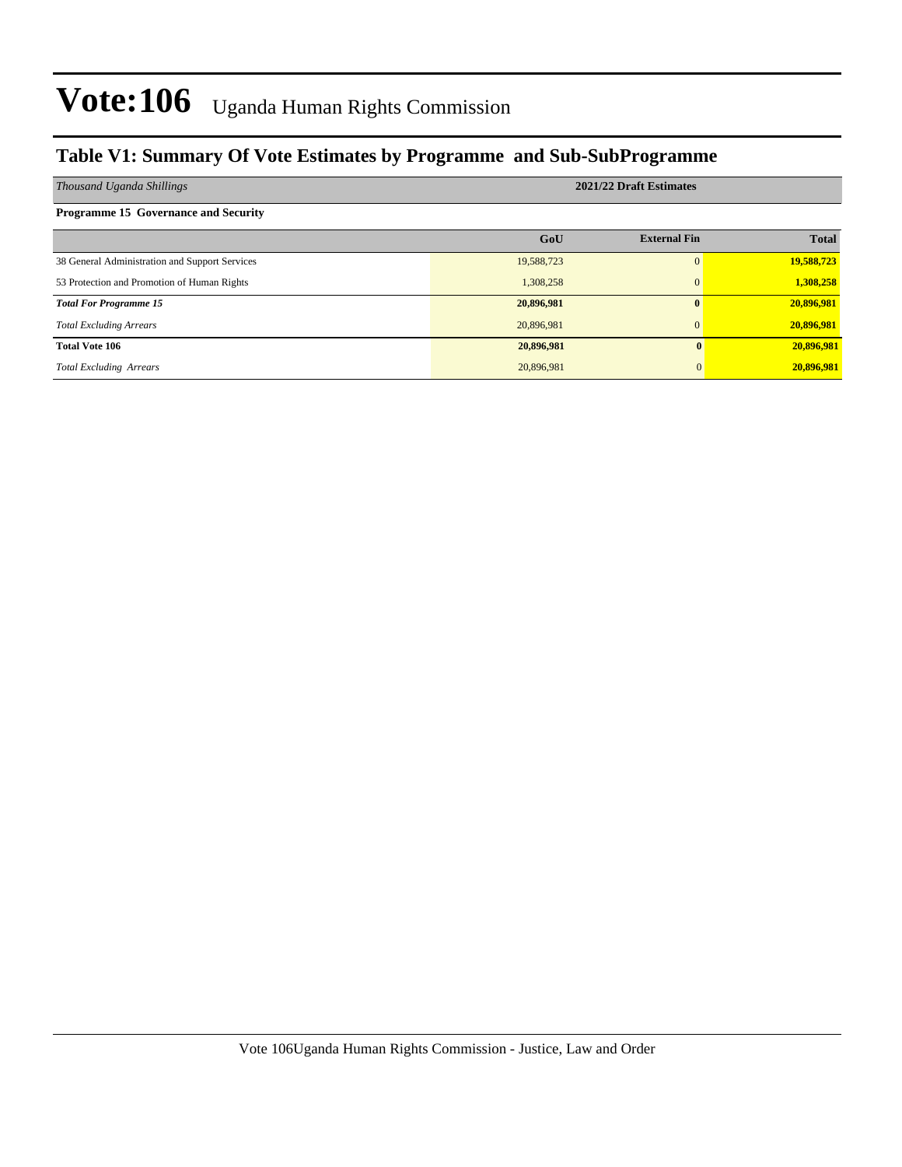### **Table V1: Summary Of Vote Estimates by Programme and Sub-SubProgramme**

| Thousand Uganda Shillings                      | 2021/22 Draft Estimates |                     |              |  |  |  |
|------------------------------------------------|-------------------------|---------------------|--------------|--|--|--|
| <b>Programme 15 Governance and Security</b>    |                         |                     |              |  |  |  |
|                                                | GoU                     | <b>External Fin</b> | <b>Total</b> |  |  |  |
| 38 General Administration and Support Services | 19,588,723              | $\Omega$            | 19,588,723   |  |  |  |
| 53 Protection and Promotion of Human Rights    | 1,308,258               | $\mathbf{0}$        | 1,308,258    |  |  |  |
| <b>Total For Programme 15</b>                  | 20,896,981              |                     | 20,896,981   |  |  |  |
| <b>Total Excluding Arrears</b>                 | 20,896,981              | $\Omega$            | 20,896,981   |  |  |  |
| <b>Total Vote 106</b>                          | 20,896,981              |                     | 20,896,981   |  |  |  |
| <b>Total Excluding Arrears</b>                 | 20,896,981              |                     | 20,896,981   |  |  |  |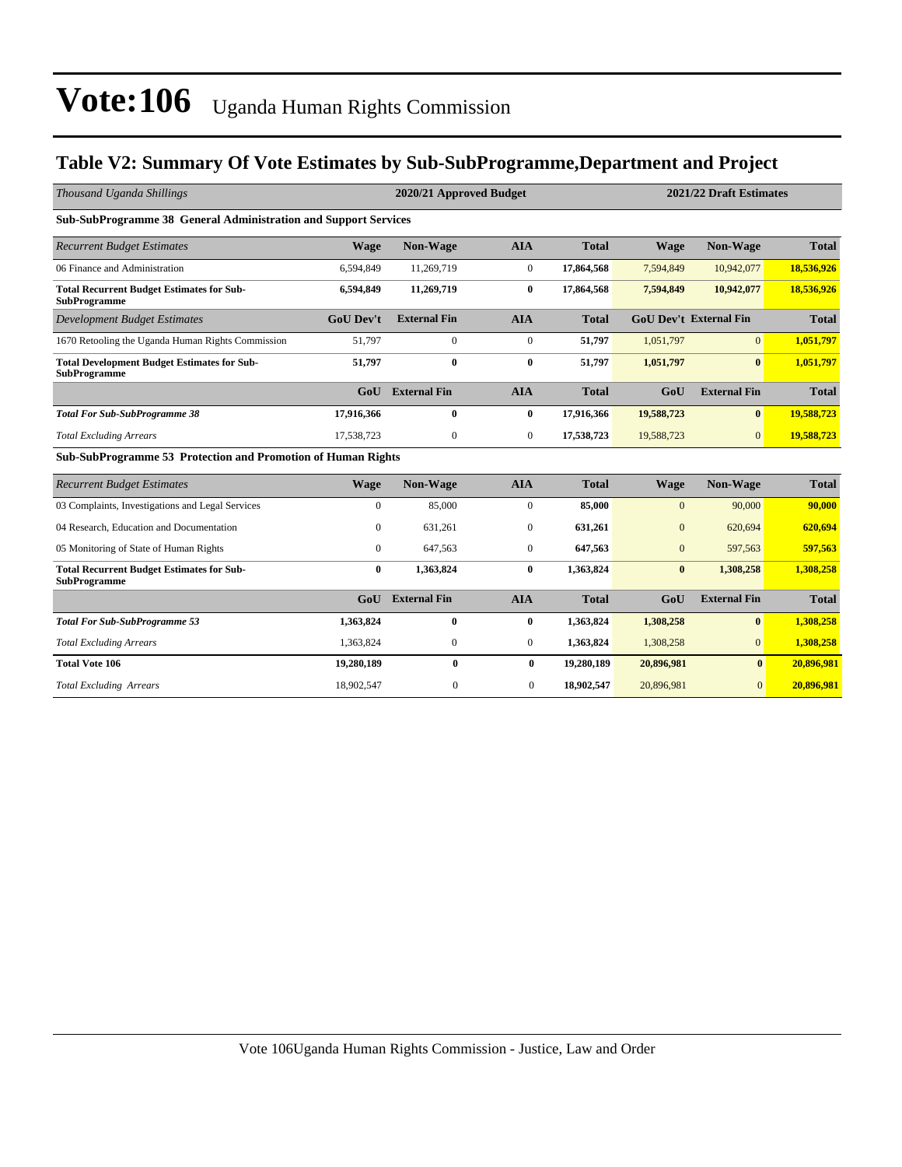### **Table V2: Summary Of Vote Estimates by Sub-SubProgramme,Department and Project**

| Thousand Uganda Shillings                                                 |                  | 2020/21 Approved Budget |                |              | 2021/22 Draft Estimates |                               |              |  |
|---------------------------------------------------------------------------|------------------|-------------------------|----------------|--------------|-------------------------|-------------------------------|--------------|--|
| Sub-SubProgramme 38 General Administration and Support Services           |                  |                         |                |              |                         |                               |              |  |
| <b>Recurrent Budget Estimates</b>                                         | <b>Wage</b>      | <b>Non-Wage</b>         | <b>AIA</b>     | <b>Total</b> | <b>Wage</b>             | Non-Wage                      | <b>Total</b> |  |
| 06 Finance and Administration                                             | 6,594,849        | 11,269,719              | $\mathbf{0}$   | 17,864,568   | 7,594,849               | 10,942,077                    | 18,536,926   |  |
| <b>Total Recurrent Budget Estimates for Sub-</b><br><b>SubProgramme</b>   | 6,594,849        | 11,269,719              | $\bf{0}$       | 17,864,568   | 7,594,849               | 10,942,077                    | 18,536,926   |  |
| <b>Development Budget Estimates</b>                                       | <b>GoU</b> Dev't | <b>External Fin</b>     | <b>AIA</b>     | <b>Total</b> |                         | <b>GoU Dev't External Fin</b> | <b>Total</b> |  |
| 1670 Retooling the Uganda Human Rights Commission                         | 51,797           | $\overline{0}$          | $\overline{0}$ | 51,797       | 1,051,797               | $\Omega$                      | 1,051,797    |  |
| <b>Total Development Budget Estimates for Sub-</b><br><b>SubProgramme</b> | 51,797           | 0                       | $\bf{0}$       | 51,797       | 1,051,797               | $\mathbf{0}$                  | 1,051,797    |  |
|                                                                           | G <sub>0</sub> U | <b>External Fin</b>     | <b>AIA</b>     | <b>Total</b> | GoU                     | <b>External Fin</b>           | <b>Total</b> |  |
| <b>Total For Sub-SubProgramme 38</b>                                      | 17,916,366       | 0                       | $\bf{0}$       | 17,916,366   | 19,588,723              | $\mathbf{0}$                  | 19,588,723   |  |
| <b>Total Excluding Arrears</b>                                            | 17,538,723       | $\mathbf{0}$            | $\Omega$       | 17,538,723   | 19,588,723              | $\Omega$                      | 19,588,723   |  |
| Sub-SubProgramme 53 Protection and Promotion of Human Rights              |                  |                         |                |              |                         |                               |              |  |
| <b>Recurrent Budget Estimates</b>                                         | <b>Wage</b>      | <b>Non-Wage</b>         | <b>AIA</b>     | <b>Total</b> | Wage                    | Non-Wage                      | <b>Total</b> |  |
| 03 Complaints, Investigations and Legal Services                          | $\mathbf{0}$     | 85,000                  | $\mathbf{0}$   | 85,000       | $\Omega$                | 90,000                        | 90,000       |  |
| 04 Research, Education and Documentation                                  | $\mathbf{0}$     | 631,261                 | $\mathbf{0}$   | 631,261      | $\mathbf{0}$            | 620,694                       | 620,694      |  |
| 05 Monitoring of State of Human Rights                                    | $\overline{0}$   | 647,563                 | $\mathbf{0}$   | 647,563      | $\mathbf{0}$            | 597,563                       | 597,563      |  |
| <b>Total Recurrent Budget Estimates for Sub-</b><br><b>SubProgramme</b>   | $\mathbf{0}$     | 1,363,824               | $\bf{0}$       | 1,363,824    | $\mathbf{0}$            | 1,308,258                     | 1,308,258    |  |
|                                                                           | G <sub>0</sub> U | <b>External Fin</b>     | <b>AIA</b>     | <b>Total</b> | GoU                     | <b>External Fin</b>           | <b>Total</b> |  |
| <b>Total For Sub-SubProgramme 53</b>                                      | 1,363,824        | $\mathbf{0}$            | $\bf{0}$       | 1,363,824    | 1,308,258               | $\mathbf{0}$                  | 1,308,258    |  |
| <b>Total Excluding Arrears</b>                                            | 1,363,824        | $\mathbf{0}$            | $\mathbf{0}$   | 1,363,824    | 1,308,258               | $\Omega$                      | 1,308,258    |  |
| <b>Total Vote 106</b>                                                     | 19,280,189       | $\bf{0}$                | $\bf{0}$       | 19,280,189   | 20,896,981              | $\bf{0}$                      | 20,896,981   |  |
| <b>Total Excluding Arrears</b>                                            | 18,902,547       | $\mathbf{0}$            | $\overline{0}$ | 18,902,547   | 20,896,981              | $\overline{0}$                | 20,896,981   |  |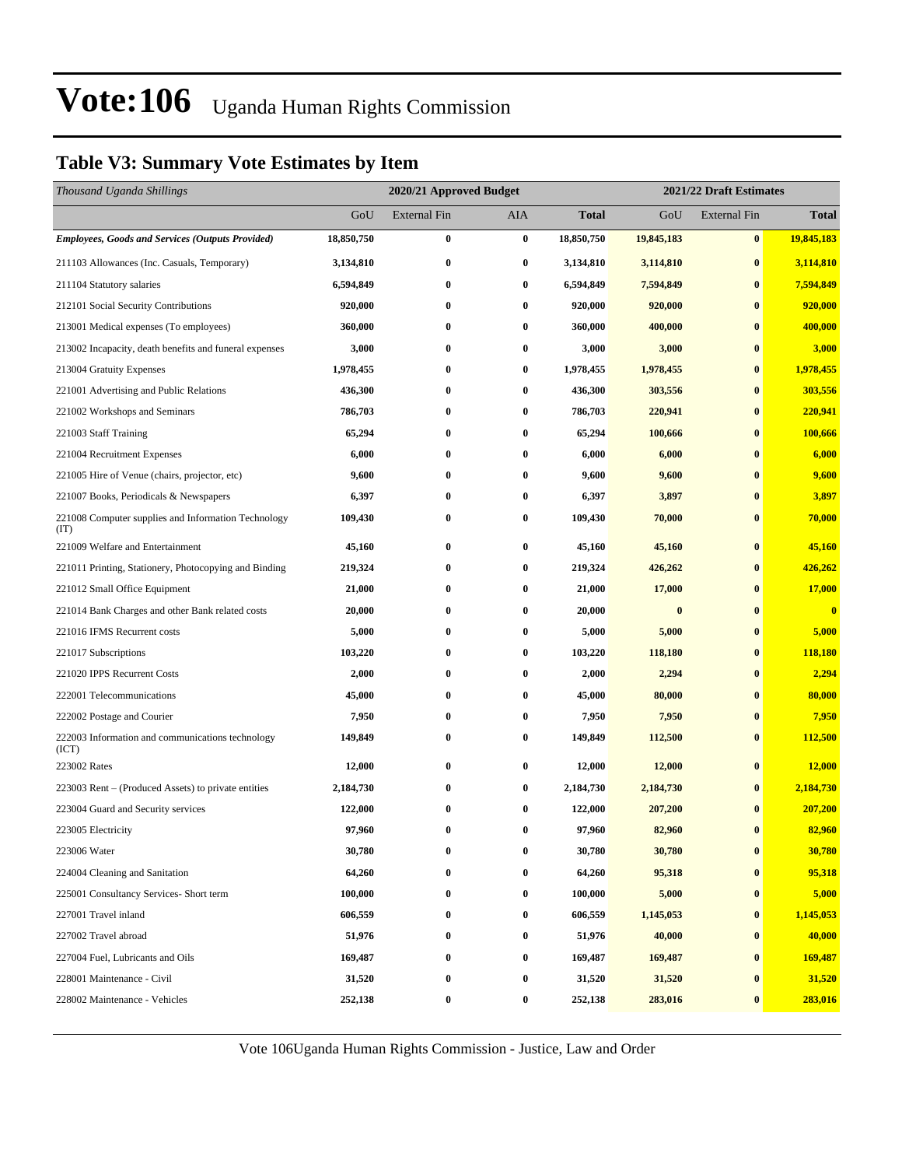### **Table V3: Summary Vote Estimates by Item**

| Thousand Uganda Shillings                                   |            | 2021/22 Draft Estimates<br>2020/21 Approved Budget |          |              |            |                     |                         |
|-------------------------------------------------------------|------------|----------------------------------------------------|----------|--------------|------------|---------------------|-------------------------|
|                                                             | GoU        | <b>External Fin</b>                                | AIA      | <b>Total</b> | GoU        | <b>External Fin</b> | <b>Total</b>            |
| <b>Employees, Goods and Services (Outputs Provided)</b>     | 18,850,750 | $\bf{0}$                                           | $\bf{0}$ | 18,850,750   | 19,845,183 | $\bf{0}$            | 19,845,183              |
| 211103 Allowances (Inc. Casuals, Temporary)                 | 3,134,810  | $\bf{0}$                                           | $\bf{0}$ | 3,134,810    | 3,114,810  | $\bf{0}$            | 3,114,810               |
| 211104 Statutory salaries                                   | 6,594,849  | $\bf{0}$                                           | $\bf{0}$ | 6,594,849    | 7,594,849  | $\bf{0}$            | 7,594,849               |
| 212101 Social Security Contributions                        | 920,000    | $\bf{0}$                                           | $\bf{0}$ | 920,000      | 920,000    | $\bf{0}$            | 920,000                 |
| 213001 Medical expenses (To employees)                      | 360,000    | $\bf{0}$                                           | 0        | 360,000      | 400,000    | $\bf{0}$            | 400,000                 |
| 213002 Incapacity, death benefits and funeral expenses      | 3,000      | $\bf{0}$                                           | $\bf{0}$ | 3,000        | 3,000      | $\bf{0}$            | 3,000                   |
| 213004 Gratuity Expenses                                    | 1,978,455  | $\bf{0}$                                           | 0        | 1,978,455    | 1,978,455  | $\bf{0}$            | 1,978,455               |
| 221001 Advertising and Public Relations                     | 436,300    | $\bf{0}$                                           | $\bf{0}$ | 436,300      | 303,556    | $\bf{0}$            | 303,556                 |
| 221002 Workshops and Seminars                               | 786,703    | $\bf{0}$                                           | $\bf{0}$ | 786,703      | 220,941    | $\bf{0}$            | 220,941                 |
| 221003 Staff Training                                       | 65,294     | $\bf{0}$                                           | $\bf{0}$ | 65,294       | 100,666    | $\bf{0}$            | 100,666                 |
| 221004 Recruitment Expenses                                 | 6,000      | $\bf{0}$                                           | $\bf{0}$ | 6,000        | 6,000      | $\bf{0}$            | 6,000                   |
| 221005 Hire of Venue (chairs, projector, etc)               | 9,600      | $\bf{0}$                                           | $\bf{0}$ | 9,600        | 9,600      | $\bf{0}$            | 9,600                   |
| 221007 Books, Periodicals & Newspapers                      | 6,397      | $\bf{0}$                                           | 0        | 6,397        | 3,897      | $\bf{0}$            | 3,897                   |
| 221008 Computer supplies and Information Technology<br>(TT) | 109,430    | $\bf{0}$                                           | $\bf{0}$ | 109,430      | 70,000     | $\bf{0}$            | 70,000                  |
| 221009 Welfare and Entertainment                            | 45,160     | $\bf{0}$                                           | $\bf{0}$ | 45,160       | 45,160     | $\bf{0}$            | 45,160                  |
| 221011 Printing, Stationery, Photocopying and Binding       | 219,324    | $\bf{0}$                                           | $\bf{0}$ | 219,324      | 426,262    | $\bf{0}$            | 426,262                 |
| 221012 Small Office Equipment                               | 21,000     | $\bf{0}$                                           | 0        | 21,000       | 17,000     | $\bf{0}$            | 17,000                  |
| 221014 Bank Charges and other Bank related costs            | 20,000     | $\bf{0}$                                           | $\bf{0}$ | 20,000       | $\bf{0}$   | $\bf{0}$            | $\overline{\mathbf{0}}$ |
| 221016 IFMS Recurrent costs                                 | 5,000      | $\bf{0}$                                           | $\bf{0}$ | 5,000        | 5,000      | $\bf{0}$            | 5,000                   |
| 221017 Subscriptions                                        | 103,220    | $\bf{0}$                                           | $\bf{0}$ | 103,220      | 118,180    | $\bf{0}$            | 118,180                 |
| 221020 IPPS Recurrent Costs                                 | 2,000      | $\bf{0}$                                           | $\bf{0}$ | 2,000        | 2,294      | $\bf{0}$            | 2,294                   |
| 222001 Telecommunications                                   | 45,000     | $\bf{0}$                                           | 0        | 45,000       | 80,000     | $\bf{0}$            | 80,000                  |
| 222002 Postage and Courier                                  | 7,950      | $\bf{0}$                                           | 0        | 7,950        | 7,950      | $\bf{0}$            | 7,950                   |
| 222003 Information and communications technology<br>(ICT)   | 149,849    | $\bf{0}$                                           | $\bf{0}$ | 149,849      | 112,500    | $\bf{0}$            | 112,500                 |
| 223002 Rates                                                | 12,000     | $\bf{0}$                                           | $\bf{0}$ | 12,000       | 12,000     | $\bf{0}$            | 12,000                  |
| 223003 Rent – (Produced Assets) to private entities         | 2,184,730  | $\bf{0}$                                           | $\bf{0}$ | 2,184,730    | 2,184,730  | $\bf{0}$            | 2,184,730               |
| 223004 Guard and Security services                          | 122,000    | $\bf{0}$                                           | $\bf{0}$ | 122,000      | 207,200    | $\bf{0}$            | 207,200                 |
| 223005 Electricity                                          | 97,960     | $\bf{0}$                                           | $\bf{0}$ | 97,960       | 82,960     | $\bf{0}$            | 82,960                  |
| 223006 Water                                                | 30,780     | $\bf{0}$                                           | $\bf{0}$ | 30,780       | 30,780     | $\pmb{0}$           | 30,780                  |
| 224004 Cleaning and Sanitation                              | 64,260     | $\bf{0}$                                           | $\bf{0}$ | 64,260       | 95,318     | $\bf{0}$            | 95,318                  |
| 225001 Consultancy Services- Short term                     | 100,000    | $\bf{0}$                                           | $\bf{0}$ | 100,000      | 5,000      | $\bf{0}$            | 5,000                   |
| 227001 Travel inland                                        | 606,559    | $\bf{0}$                                           | $\bf{0}$ | 606,559      | 1,145,053  | $\bf{0}$            | 1,145,053               |
| 227002 Travel abroad                                        | 51,976     | $\bf{0}$                                           | $\bf{0}$ | 51,976       | 40,000     | $\bf{0}$            | 40,000                  |
| 227004 Fuel, Lubricants and Oils                            | 169,487    | $\bf{0}$                                           | $\bf{0}$ | 169,487      | 169,487    | $\bf{0}$            | 169,487                 |
| 228001 Maintenance - Civil                                  | 31,520     | $\bf{0}$                                           | $\bf{0}$ | 31,520       | 31,520     | $\bf{0}$            | 31,520                  |
| 228002 Maintenance - Vehicles                               | 252,138    | $\boldsymbol{0}$                                   | $\bf{0}$ | 252,138      | 283,016    | $\bf{0}$            | 283,016                 |

Vote 106Uganda Human Rights Commission - Justice, Law and Order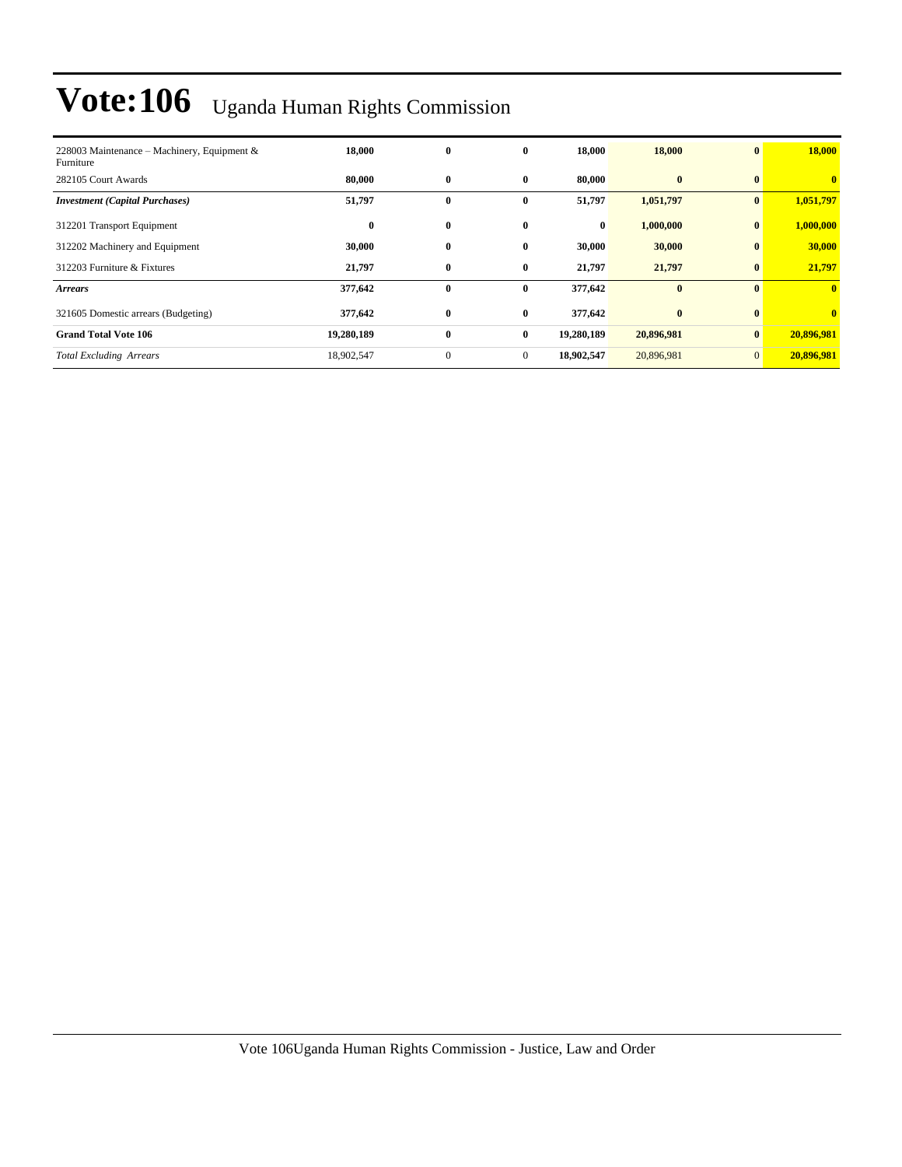| 228003 Maintenance – Machinery, Equipment &<br>Furniture | 18,000     | $\bf{0}$     | $\bf{0}$     | 18,000     | 18,000     | $\mathbf{0}$   | 18,000                  |
|----------------------------------------------------------|------------|--------------|--------------|------------|------------|----------------|-------------------------|
| 282105 Court Awards                                      | 80,000     | $\bf{0}$     | $\bf{0}$     | 80,000     | $\bf{0}$   | $\mathbf{0}$   | $\overline{\mathbf{0}}$ |
| <b>Investment (Capital Purchases)</b>                    | 51,797     | 0            | $\bf{0}$     | 51,797     | 1,051,797  | $\bf{0}$       | 1,051,797               |
| 312201 Transport Equipment                               | $\bf{0}$   | $\bf{0}$     | $\mathbf{0}$ | $\bf{0}$   | 1,000,000  | $\mathbf{0}$   | 1,000,000               |
| 312202 Machinery and Equipment                           | 30,000     | 0            | $\bf{0}$     | 30,000     | 30,000     | $\bf{0}$       | 30,000                  |
| 312203 Furniture & Fixtures                              | 21,797     | $\bf{0}$     | $\bf{0}$     | 21,797     | 21,797     | $\bf{0}$       | 21,797                  |
| <b>Arrears</b>                                           | 377,642    | $\bf{0}$     | $\bf{0}$     | 377,642    | $\bf{0}$   | $\mathbf{0}$   | $\overline{\mathbf{0}}$ |
| 321605 Domestic arrears (Budgeting)                      | 377,642    | $\bf{0}$     | $\bf{0}$     | 377,642    | $\bf{0}$   | $\mathbf{0}$   | $\mathbf{0}$            |
| <b>Grand Total Vote 106</b>                              | 19,280,189 | $\bf{0}$     | $\bf{0}$     | 19,280,189 | 20,896,981 | $\mathbf{0}$   | 20,896,981              |
| <b>Total Excluding Arrears</b>                           | 18,902,547 | $\mathbf{0}$ | $\mathbf{0}$ | 18,902,547 | 20,896,981 | $\overline{0}$ | 20,896,981              |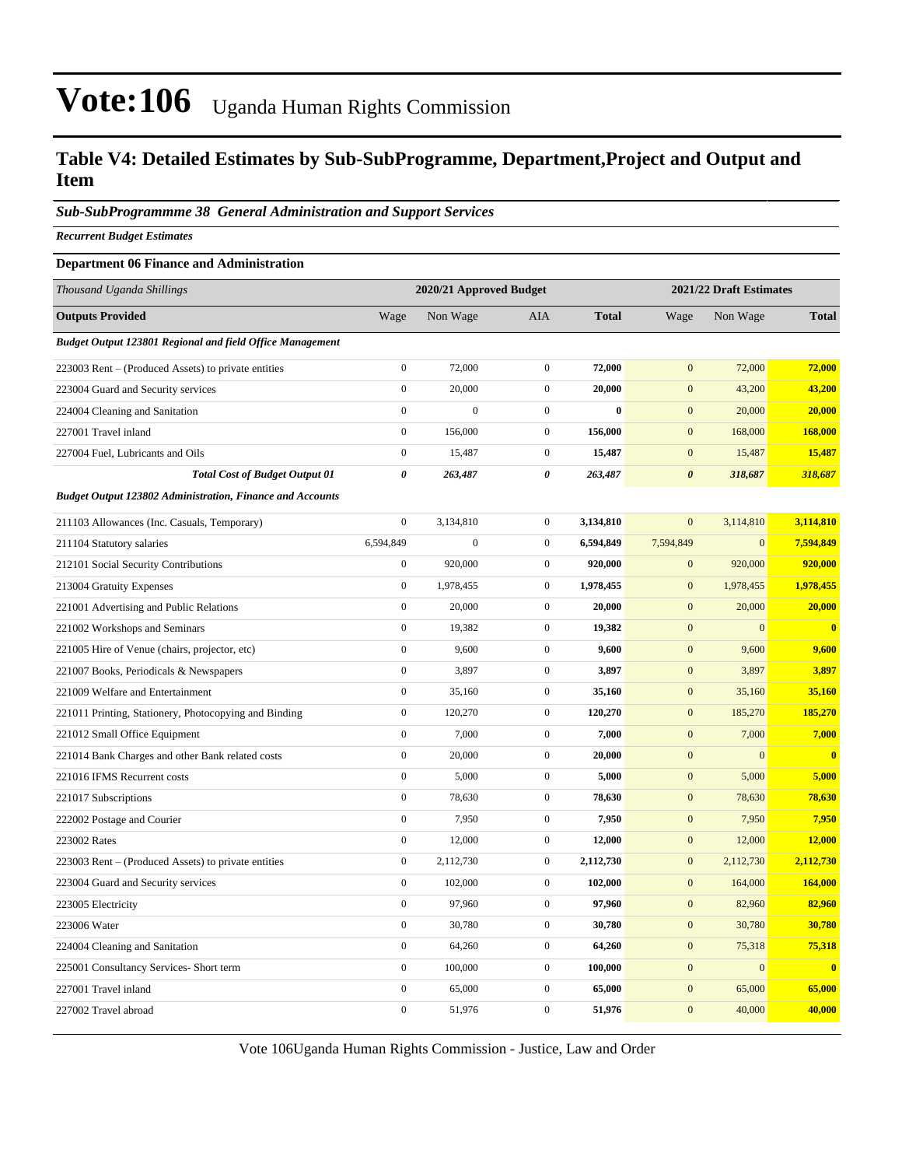### **Table V4: Detailed Estimates by Sub-SubProgramme, Department,Project and Output and Item**

### *Sub-SubProgrammme 38 General Administration and Support Services*

*Recurrent Budget Estimates*

#### **Department 06 Finance and Administration**

| Thousand Uganda Shillings                                        |                  |                  | 2020/21 Approved Budget<br>2021/22 Draft Estimates |              |                       |                |              |  |
|------------------------------------------------------------------|------------------|------------------|----------------------------------------------------|--------------|-----------------------|----------------|--------------|--|
| <b>Outputs Provided</b>                                          | Wage             | Non Wage         | AIA                                                | <b>Total</b> | Wage                  | Non Wage       | <b>Total</b> |  |
| <b>Budget Output 123801 Regional and field Office Management</b> |                  |                  |                                                    |              |                       |                |              |  |
| 223003 Rent – (Produced Assets) to private entities              | $\boldsymbol{0}$ | 72,000           | $\boldsymbol{0}$                                   | 72,000       | $\mathbf{0}$          | 72,000         | 72,000       |  |
| 223004 Guard and Security services                               | $\boldsymbol{0}$ | 20,000           | $\boldsymbol{0}$                                   | 20,000       | $\mathbf{0}$          | 43,200         | 43,200       |  |
| 224004 Cleaning and Sanitation                                   | $\boldsymbol{0}$ | $\boldsymbol{0}$ | $\mathbf{0}$                                       | $\theta$     | $\mathbf{0}$          | 20,000         | 20,000       |  |
| 227001 Travel inland                                             | $\boldsymbol{0}$ | 156,000          | $\mathbf{0}$                                       | 156,000      | $\mathbf{0}$          | 168,000        | 168,000      |  |
| 227004 Fuel, Lubricants and Oils                                 | $\overline{0}$   | 15,487           | $\boldsymbol{0}$                                   | 15,487       | $\boldsymbol{0}$      | 15,487         | 15,487       |  |
| <b>Total Cost of Budget Output 01</b>                            | 0                | 263,487          | 0                                                  | 263,487      | $\boldsymbol{\theta}$ | 318,687        | 318,687      |  |
| <b>Budget Output 123802 Administration, Finance and Accounts</b> |                  |                  |                                                    |              |                       |                |              |  |
| 211103 Allowances (Inc. Casuals, Temporary)                      | $\mathbf{0}$     | 3,134,810        | $\boldsymbol{0}$                                   | 3,134,810    | $\mathbf{0}$          | 3,114,810      | 3,114,810    |  |
| 211104 Statutory salaries                                        | 6,594,849        | $\boldsymbol{0}$ | $\mathbf 0$                                        | 6,594,849    | 7,594,849             | $\overline{0}$ | 7,594,849    |  |
| 212101 Social Security Contributions                             | $\boldsymbol{0}$ | 920,000          | $\mathbf{0}$                                       | 920,000      | $\boldsymbol{0}$      | 920,000        | 920,000      |  |
| 213004 Gratuity Expenses                                         | $\boldsymbol{0}$ | 1,978,455        | $\mathbf{0}$                                       | 1,978,455    | $\mathbf{0}$          | 1,978,455      | 1,978,455    |  |
| 221001 Advertising and Public Relations                          | $\boldsymbol{0}$ | 20,000           | $\mathbf{0}$                                       | 20,000       | $\boldsymbol{0}$      | 20,000         | 20,000       |  |
| 221002 Workshops and Seminars                                    | $\boldsymbol{0}$ | 19,382           | $\mathbf{0}$                                       | 19,382       | $\mathbf{0}$          | $\overline{0}$ | $\bf{0}$     |  |
| 221005 Hire of Venue (chairs, projector, etc)                    | $\boldsymbol{0}$ | 9,600            | $\boldsymbol{0}$                                   | 9,600        | $\boldsymbol{0}$      | 9,600          | 9,600        |  |
| 221007 Books, Periodicals & Newspapers                           | $\boldsymbol{0}$ | 3,897            | $\mathbf{0}$                                       | 3,897        | $\mathbf{0}$          | 3,897          | 3,897        |  |
| 221009 Welfare and Entertainment                                 | $\boldsymbol{0}$ | 35,160           | $\boldsymbol{0}$                                   | 35,160       | $\boldsymbol{0}$      | 35,160         | 35,160       |  |
| 221011 Printing, Stationery, Photocopying and Binding            | $\boldsymbol{0}$ | 120,270          | $\boldsymbol{0}$                                   | 120,270      | $\mathbf{0}$          | 185,270        | 185,270      |  |
| 221012 Small Office Equipment                                    | $\boldsymbol{0}$ | 7,000            | $\boldsymbol{0}$                                   | 7,000        | $\mathbf{0}$          | 7,000          | 7,000        |  |
| 221014 Bank Charges and other Bank related costs                 | $\boldsymbol{0}$ | 20,000           | $\boldsymbol{0}$                                   | 20,000       | $\mathbf{0}$          | $\mathbf{0}$   | $\bf{0}$     |  |
| 221016 IFMS Recurrent costs                                      | $\mathbf{0}$     | 5,000            | $\boldsymbol{0}$                                   | 5,000        | $\mathbf{0}$          | 5,000          | 5,000        |  |
| 221017 Subscriptions                                             | $\boldsymbol{0}$ | 78,630           | $\boldsymbol{0}$                                   | 78,630       | $\boldsymbol{0}$      | 78,630         | 78,630       |  |
| 222002 Postage and Courier                                       | $\boldsymbol{0}$ | 7,950            | $\boldsymbol{0}$                                   | 7,950        | $\mathbf{0}$          | 7,950          | 7,950        |  |
| 223002 Rates                                                     | $\boldsymbol{0}$ | 12,000           | $\boldsymbol{0}$                                   | 12,000       | $\boldsymbol{0}$      | 12,000         | 12,000       |  |
| 223003 Rent – (Produced Assets) to private entities              | $\boldsymbol{0}$ | 2,112,730        | $\boldsymbol{0}$                                   | 2,112,730    | $\boldsymbol{0}$      | 2,112,730      | 2,112,730    |  |
| 223004 Guard and Security services                               | $\overline{0}$   | 102,000          | $\boldsymbol{0}$                                   | 102,000      | $\boldsymbol{0}$      | 164,000        | 164,000      |  |
| 223005 Electricity                                               | $\boldsymbol{0}$ | 97,960           | $\boldsymbol{0}$                                   | 97,960       | $\boldsymbol{0}$      | 82,960         | 82,960       |  |
| 223006 Water                                                     | $\overline{0}$   | 30,780           | $\mathbf{0}$                                       | 30,780       | $\mathbf{0}$          | 30,780         | 30,780       |  |
| 224004 Cleaning and Sanitation                                   | $\boldsymbol{0}$ | 64,260           | $\boldsymbol{0}$                                   | 64,260       | $\boldsymbol{0}$      | 75,318         | 75,318       |  |
| 225001 Consultancy Services- Short term                          | $\boldsymbol{0}$ | 100,000          | $\mathbf{0}$                                       | 100,000      | $\mathbf{0}$          | $\mathbf{0}$   | $\bf{0}$     |  |
| 227001 Travel inland                                             | $\boldsymbol{0}$ | 65,000           | $\boldsymbol{0}$                                   | 65,000       | $\boldsymbol{0}$      | 65,000         | 65,000       |  |
| 227002 Travel abroad                                             | $\boldsymbol{0}$ | 51,976           | $\mathbf{0}$                                       | 51,976       | $\mathbf{0}$          | 40,000         | 40,000       |  |

Vote 106Uganda Human Rights Commission - Justice, Law and Order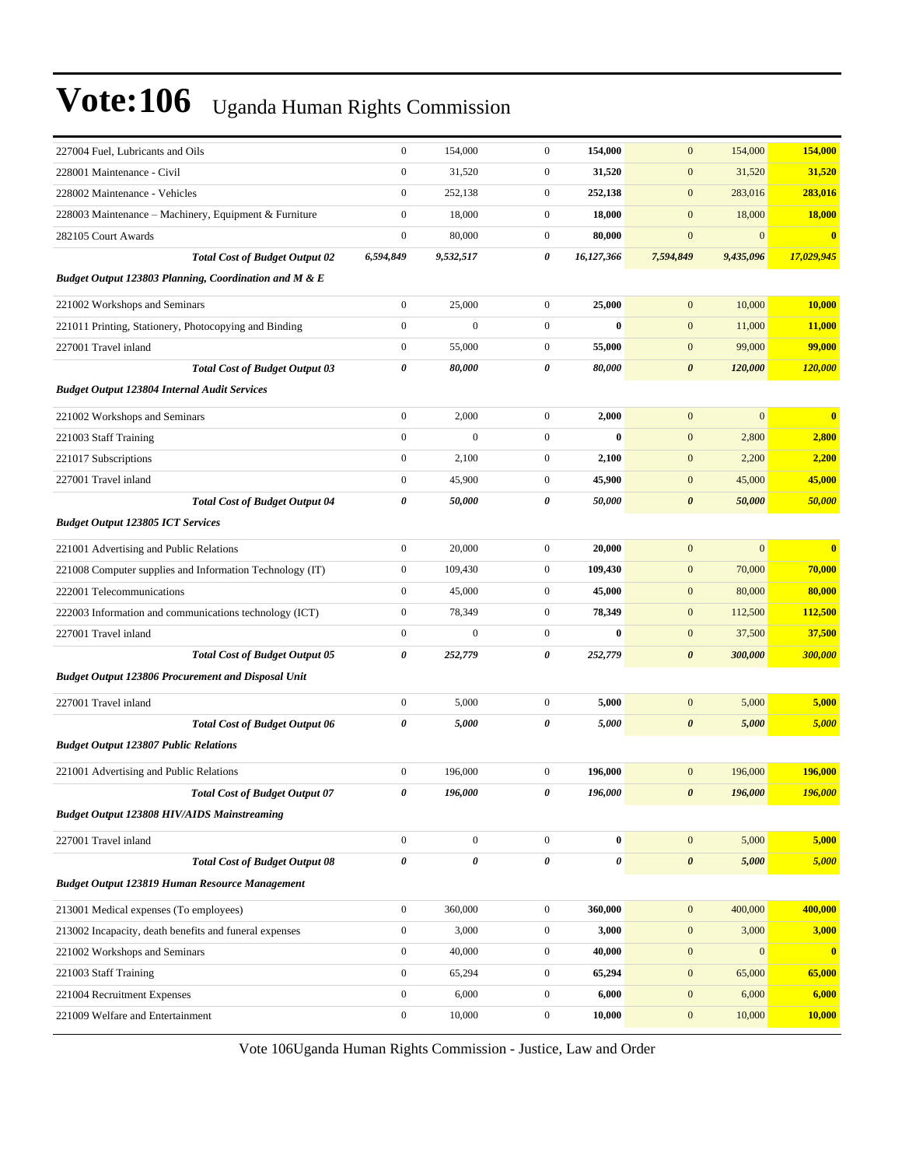| 227004 Fuel, Lubricants and Oils                          | $\boldsymbol{0}$ | 154,000          | $\boldsymbol{0}$ | 154,000        | $\mathbf{0}$          | 154,000      | 154,000                 |
|-----------------------------------------------------------|------------------|------------------|------------------|----------------|-----------------------|--------------|-------------------------|
| 228001 Maintenance - Civil                                | $\boldsymbol{0}$ | 31,520           | $\mathbf{0}$     | 31,520         | $\boldsymbol{0}$      | 31,520       | 31,520                  |
| 228002 Maintenance - Vehicles                             | $\boldsymbol{0}$ | 252,138          | $\mathbf{0}$     | 252,138        | $\mathbf{0}$          | 283,016      | 283,016                 |
| 228003 Maintenance – Machinery, Equipment & Furniture     | $\boldsymbol{0}$ | 18,000           | $\mathbf{0}$     | 18,000         | $\boldsymbol{0}$      | 18,000       | <b>18,000</b>           |
| 282105 Court Awards                                       | $\boldsymbol{0}$ | 80,000           | $\mathbf{0}$     | 80,000         | $\mathbf{0}$          | $\mathbf{0}$ | $\overline{\mathbf{0}}$ |
| <b>Total Cost of Budget Output 02</b>                     | 6,594,849        | 9,532,517        | 0                | 16,127,366     | 7,594,849             | 9,435,096    | 17,029,945              |
| Budget Output 123803 Planning, Coordination and M & E     |                  |                  |                  |                |                       |              |                         |
| 221002 Workshops and Seminars                             | $\boldsymbol{0}$ | 25,000           | $\overline{0}$   | 25,000         | $\mathbf{0}$          | 10,000       | 10,000                  |
| 221011 Printing, Stationery, Photocopying and Binding     | $\boldsymbol{0}$ | $\mathbf{0}$     | $\mathbf{0}$     | $\mathbf{0}$   | $\mathbf{0}$          | 11,000       | 11,000                  |
| 227001 Travel inland                                      | $\boldsymbol{0}$ | 55,000           | $\boldsymbol{0}$ | 55,000         | $\boldsymbol{0}$      | 99,000       | 99,000                  |
| <b>Total Cost of Budget Output 03</b>                     | 0                | 80,000           | 0                | 80,000         | $\boldsymbol{\theta}$ | 120,000      | 120,000                 |
| <b>Budget Output 123804 Internal Audit Services</b>       |                  |                  |                  |                |                       |              |                         |
| 221002 Workshops and Seminars                             | $\boldsymbol{0}$ | 2,000            | $\mathbf{0}$     | 2,000          | $\mathbf{0}$          | $\mathbf{0}$ | $\overline{\mathbf{0}}$ |
| 221003 Staff Training                                     | $\boldsymbol{0}$ | $\boldsymbol{0}$ | $\boldsymbol{0}$ | $\bf{0}$       | $\boldsymbol{0}$      | 2,800        | 2,800                   |
| 221017 Subscriptions                                      | $\boldsymbol{0}$ | 2,100            | $\mathbf{0}$     | 2,100          | $\mathbf{0}$          | 2,200        | 2,200                   |
| 227001 Travel inland                                      | $\boldsymbol{0}$ | 45,900           | $\mathbf{0}$     | 45,900         | $\boldsymbol{0}$      | 45,000       | 45,000                  |
| <b>Total Cost of Budget Output 04</b>                     | 0                | 50,000           | 0                | 50,000         | $\boldsymbol{\theta}$ | 50,000       | 50,000                  |
| <b>Budget Output 123805 ICT Services</b>                  |                  |                  |                  |                |                       |              |                         |
| 221001 Advertising and Public Relations                   | $\boldsymbol{0}$ | 20,000           | $\overline{0}$   | 20,000         | $\mathbf{0}$          | $\mathbf{0}$ | $\overline{\mathbf{0}}$ |
| 221008 Computer supplies and Information Technology (IT)  | $\boldsymbol{0}$ | 109,430          | $\mathbf{0}$     | 109,430        | $\mathbf{0}$          | 70,000       | 70,000                  |
| 222001 Telecommunications                                 | $\boldsymbol{0}$ | 45,000           | $\mathbf{0}$     | 45,000         | $\mathbf{0}$          | 80,000       | 80,000                  |
| 222003 Information and communications technology (ICT)    | $\boldsymbol{0}$ | 78,349           | $\mathbf{0}$     | 78,349         | $\mathbf{0}$          | 112,500      | <b>112,500</b>          |
| 227001 Travel inland                                      | $\boldsymbol{0}$ | $\mathbf{0}$     | $\overline{0}$   | $\bf{0}$       | $\mathbf{0}$          | 37,500       | 37,500                  |
| <b>Total Cost of Budget Output 05</b>                     | $\pmb{\theta}$   | 252,779          | 0                | 252,779        | $\boldsymbol{\theta}$ | 300,000      | 300,000                 |
| <b>Budget Output 123806 Procurement and Disposal Unit</b> |                  |                  |                  |                |                       |              |                         |
| 227001 Travel inland                                      | $\boldsymbol{0}$ | 5,000            | $\boldsymbol{0}$ | 5,000          | $\boldsymbol{0}$      | 5,000        | 5,000                   |
| <b>Total Cost of Budget Output 06</b>                     | 0                | 5,000            | 0                | 5,000          | $\boldsymbol{\theta}$ | 5,000        | 5,000                   |
| <b>Budget Output 123807 Public Relations</b>              |                  |                  |                  |                |                       |              |                         |
| 221001 Advertising and Public Relations                   | $\boldsymbol{0}$ | 196,000          | $\mathbf{0}$     | 196,000        | $\mathbf{0}$          | 196,000      | 196,000                 |
| <b>Total Cost of Budget Output 07</b>                     | 0                | 196,000          | 0                | 196,000        | $\boldsymbol{\theta}$ | 196,000      | 196,000                 |
| <b>Budget Output 123808 HIV/AIDS Mainstreaming</b>        |                  |                  |                  |                |                       |              |                         |
| 227001 Travel inland                                      | $\boldsymbol{0}$ | $\boldsymbol{0}$ | $\overline{0}$   | $\bf{0}$       | $\mathbf{0}$          | 5,000        | 5,000                   |
| <b>Total Cost of Budget Output 08</b>                     | 0                | 0                | 0                | $\pmb{\theta}$ | $\boldsymbol{\theta}$ | 5,000        | 5,000                   |
| Budget Output 123819 Human Resource Management            |                  |                  |                  |                |                       |              |                         |
| 213001 Medical expenses (To employees)                    | $\boldsymbol{0}$ | 360,000          | $\overline{0}$   | 360,000        | $\boldsymbol{0}$      | 400,000      | 400,000                 |
| 213002 Incapacity, death benefits and funeral expenses    | $\boldsymbol{0}$ | 3,000            | $\boldsymbol{0}$ | 3,000          | $\boldsymbol{0}$      | 3,000        | 3,000                   |
| 221002 Workshops and Seminars                             | $\boldsymbol{0}$ | 40,000           | $\boldsymbol{0}$ | 40,000         | $\boldsymbol{0}$      | $\mathbf{0}$ | $\overline{\mathbf{0}}$ |
| 221003 Staff Training                                     | $\boldsymbol{0}$ | 65,294           | $\boldsymbol{0}$ | 65,294         | $\mathbf{0}$          | 65,000       | 65,000                  |
| 221004 Recruitment Expenses                               | $\boldsymbol{0}$ | 6,000            | $\boldsymbol{0}$ | 6,000          | $\boldsymbol{0}$      | 6,000        | 6,000                   |
| 221009 Welfare and Entertainment                          | $\boldsymbol{0}$ | 10,000           | $\boldsymbol{0}$ | 10,000         | $\boldsymbol{0}$      | 10,000       | 10,000                  |

Vote 106Uganda Human Rights Commission - Justice, Law and Order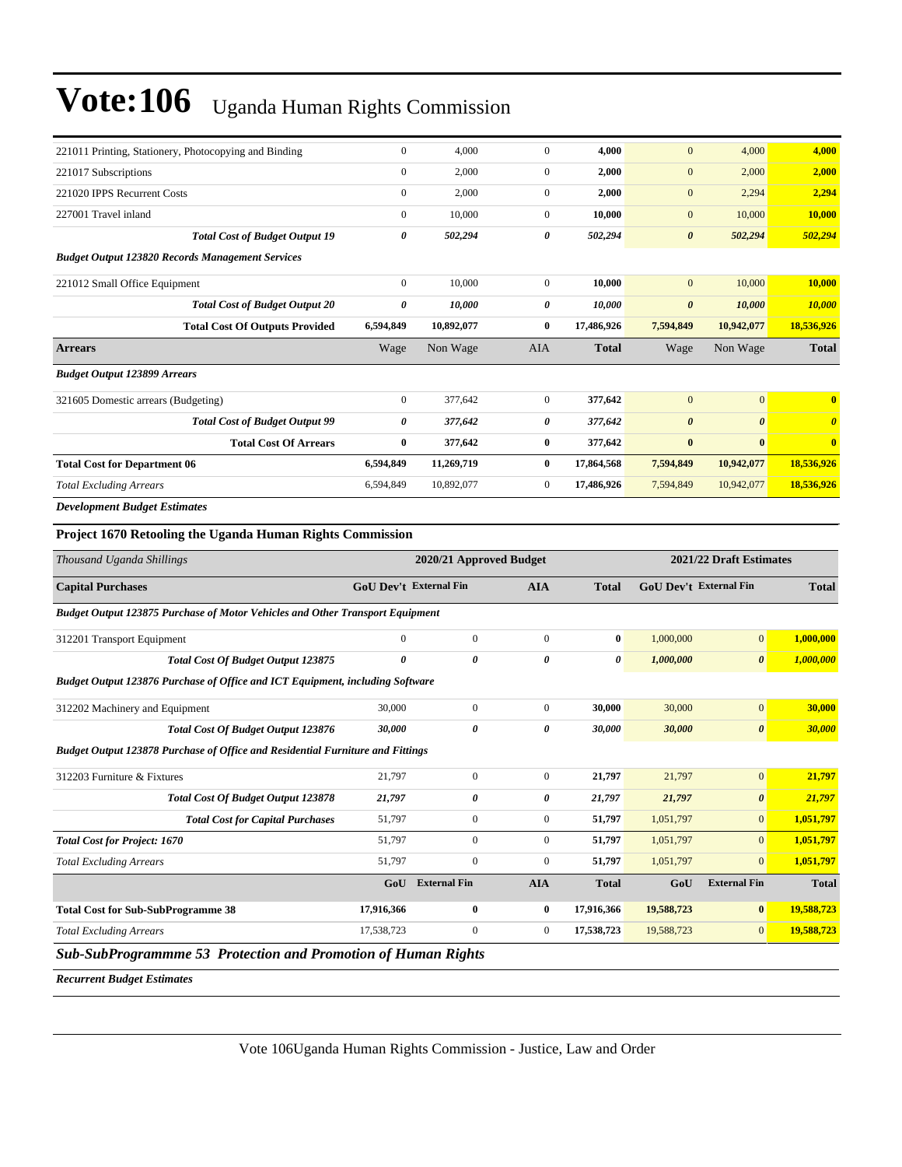| 221011 Printing, Stationery, Photocopying and Binding            | $\mathbf{0}$     | 4,000      | $\overline{0}$ | 4,000        | $\mathbf{0}$          | 4,000                 | 4,000                   |
|------------------------------------------------------------------|------------------|------------|----------------|--------------|-----------------------|-----------------------|-------------------------|
| 221017 Subscriptions                                             | $\mathbf{0}$     | 2,000      | $\mathbf{0}$   | 2,000        | $\mathbf{0}$          | 2,000                 | 2,000                   |
| 221020 IPPS Recurrent Costs                                      | $\boldsymbol{0}$ | 2,000      | 0              | 2,000        | $\mathbf{0}$          | 2,294                 | 2,294                   |
| 227001 Travel inland                                             | $\mathbf{0}$     | 10,000     | $\overline{0}$ | 10,000       | $\mathbf{0}$          | 10,000                | 10,000                  |
| <b>Total Cost of Budget Output 19</b>                            | 0                | 502,294    | 0              | 502,294      | $\boldsymbol{\theta}$ | 502,294               | 502,294                 |
| <b>Budget Output 123820 Records Management Services</b>          |                  |            |                |              |                       |                       |                         |
| 221012 Small Office Equipment                                    | $\mathbf{0}$     | 10,000     | $\overline{0}$ | 10,000       | $\mathbf{0}$          | 10,000                | 10,000                  |
| <b>Total Cost of Budget Output 20</b>                            | 0                | 10,000     | 0              | 10,000       | $\boldsymbol{\theta}$ | 10,000                | 10,000                  |
| <b>Total Cost Of Outputs Provided</b>                            | 6,594,849        | 10,892,077 | $\bf{0}$       | 17,486,926   | 7,594,849             | 10,942,077            | 18,536,926              |
| <b>Arrears</b>                                                   | Wage             | Non Wage   | <b>AIA</b>     | <b>Total</b> | Wage                  | Non Wage              | <b>Total</b>            |
| <b>Budget Output 123899 Arrears</b>                              |                  |            |                |              |                       |                       |                         |
| 321605 Domestic arrears (Budgeting)                              | $\mathbf{0}$     | 377,642    | $\overline{0}$ | 377,642      | $\mathbf{0}$          | $\mathbf{0}$          | $\mathbf{0}$            |
| <b>Total Cost of Budget Output 99</b>                            | 0                | 377,642    | 0              | 377,642      | $\boldsymbol{\theta}$ | $\boldsymbol{\theta}$ | $\theta$                |
| <b>Total Cost Of Arrears</b>                                     | $\bf{0}$         | 377,642    | $\bf{0}$       | 377,642      | $\bf{0}$              | $\bf{0}$              | $\overline{\mathbf{0}}$ |
| <b>Total Cost for Department 06</b>                              | 6,594,849        | 11,269,719 | $\bf{0}$       | 17,864,568   | 7,594,849             | 10,942,077            | 18,536,926              |
| <b>Total Excluding Arrears</b>                                   | 6,594,849        | 10,892,077 | 0              | 17,486,926   | 7,594,849             | 10,942,077            | 18,536,926              |
| <b>Development Budget Estimates</b>                              |                  |            |                |              |                       |                       |                         |
| <b>Project 1670 Retooling the Uganda Human Rights Commission</b> |                  |            |                |              |                       |                       |                         |

### *Thousand Uganda Shillings* **2020/21 Approved Budget 2021/22 Draft Estimates Capital Purchases GoU Dev't External Fin AIA Total GoU Dev't External Fin Total** *Budget Output 123875 Purchase of Motor Vehicles and Other Transport Equipment* 312201 Transport Equipment 0 0 0 **0** 1,000,000 0 **1,000,000** *Total Cost Of Budget Output 123875 0 0 0 0 1,000,000 0 1,000,000 Budget Output 123876 Purchase of Office and ICT Equipment, including Software* 312202 Machinery and Equipment 30,000 0 0 **30,000** 30,000 0 **30,000** *Total Cost Of Budget Output 123876 30,000 0 0 30,000 30,000 0 30,000 Budget Output 123878 Purchase of Office and Residential Furniture and Fittings* 312203 Furniture & Fixtures 21,797 0 0 **21,797** 21,797 0 **21,797** *Total Cost Of Budget Output 123878 21,797 0 0 21,797 21,797 0 21,797 Total Cost for Capital Purchases* 51,797 0 0 51,797 1,051,797 0 1,051,797 *Total Cost for Project: 1670* **51,797 51,797 51,797 51,797 51,797 51,797 51,797 51,797 61 1,051,797 61 1,051,797** *Total Excluding Arrears* 51,797 0 0 **51,797** 1,051,797 0 **1,051,797 GoU External Fin AIA Total GoU External Fin Total Total Cost for Sub-SubProgramme 38 17,916,366 0 0 17,916,366 19,588,723 0 19,588,723** *Total Excluding Arrears* 17,538,723 0 0 **17,538,723** 19,588,723 0 **19,588,723** *Sub-SubProgrammme 53 Protection and Promotion of Human Rights*

*Recurrent Budget Estimates*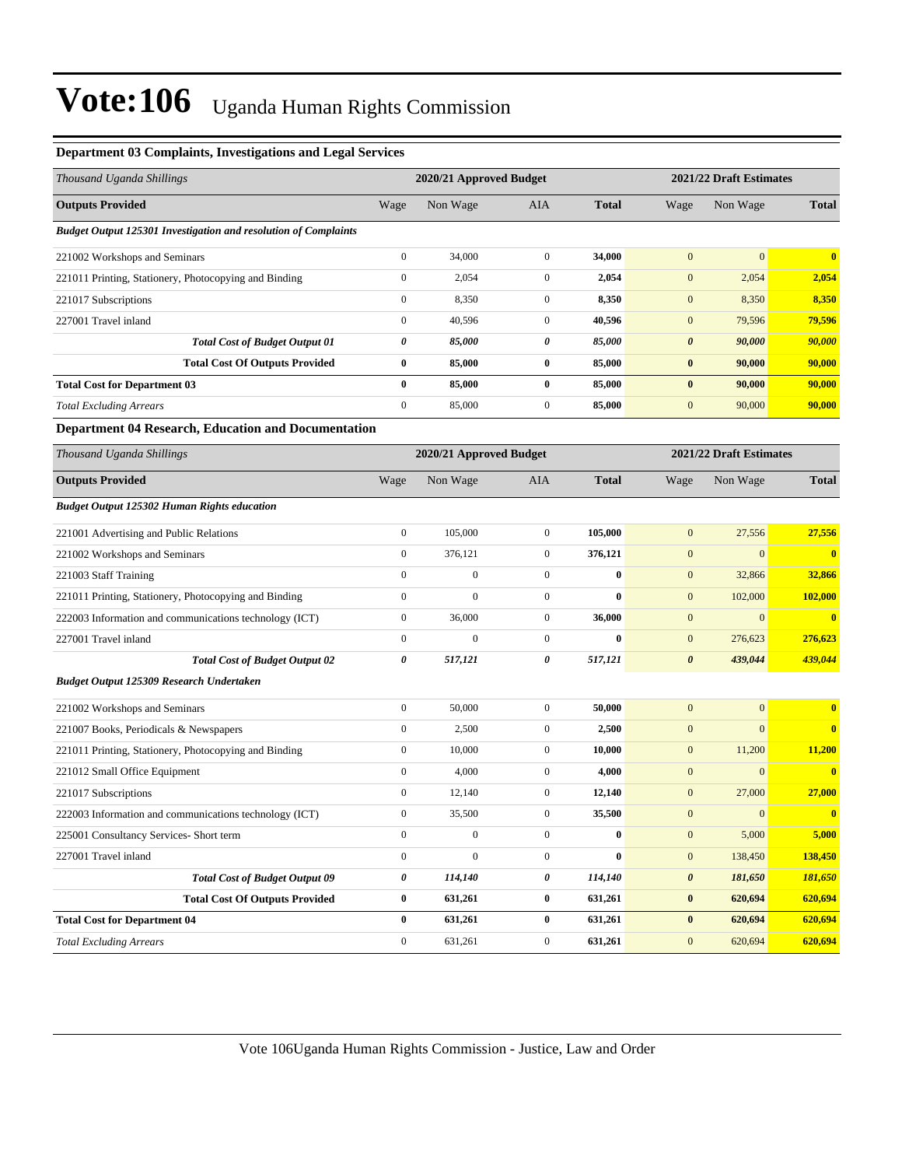| Thousand Uganda Shillings                                       |                  | 2020/21 Approved Budget |                  |              | 2021/22 Draft Estimates |                         |              |
|-----------------------------------------------------------------|------------------|-------------------------|------------------|--------------|-------------------------|-------------------------|--------------|
| <b>Outputs Provided</b>                                         | Wage             | Non Wage                | AIA              | <b>Total</b> | Wage                    | Non Wage                | <b>Total</b> |
| Budget Output 125301 Investigation and resolution of Complaints |                  |                         |                  |              |                         |                         |              |
| 221002 Workshops and Seminars                                   | $\boldsymbol{0}$ | 34,000                  | $\boldsymbol{0}$ | 34,000       | $\mathbf{0}$            | $\mathbf{0}$            | $\bf{0}$     |
| 221011 Printing, Stationery, Photocopying and Binding           | $\boldsymbol{0}$ | 2,054                   | $\boldsymbol{0}$ | 2,054        | $\mathbf{0}$            | 2,054                   | 2,054        |
| 221017 Subscriptions                                            | $\boldsymbol{0}$ | 8,350                   | $\boldsymbol{0}$ | 8,350        | $\boldsymbol{0}$        | 8,350                   | 8,350        |
| 227001 Travel inland                                            | $\boldsymbol{0}$ | 40,596                  | $\mathbf{0}$     | 40,596       | $\boldsymbol{0}$        | 79,596                  | 79,596       |
| <b>Total Cost of Budget Output 01</b>                           | 0                | 85,000                  | 0                | 85,000       | $\boldsymbol{\theta}$   | 90,000                  | 90,000       |
| <b>Total Cost Of Outputs Provided</b>                           | $\bf{0}$         | 85,000                  | $\bf{0}$         | 85,000       | $\bf{0}$                | 90,000                  | 90,000       |
| <b>Total Cost for Department 03</b>                             | $\bf{0}$         | 85,000                  | $\bf{0}$         | 85,000       | $\bf{0}$                | 90,000                  | 90,000       |
| <b>Total Excluding Arrears</b>                                  | $\boldsymbol{0}$ | 85,000                  | $\boldsymbol{0}$ | 85,000       | $\boldsymbol{0}$        | 90,000                  | 90,000       |
| <b>Department 04 Research, Education and Documentation</b>      |                  |                         |                  |              |                         |                         |              |
| Thousand Uganda Shillings                                       |                  | 2020/21 Approved Budget |                  |              |                         | 2021/22 Draft Estimates |              |
| <b>Outputs Provided</b>                                         | Wage             | Non Wage                | AIA              | <b>Total</b> | Wage                    | Non Wage                | <b>Total</b> |
| <b>Budget Output 125302 Human Rights education</b>              |                  |                         |                  |              |                         |                         |              |
| 221001 Advertising and Public Relations                         | $\boldsymbol{0}$ | 105,000                 | $\mathbf{0}$     | 105,000      | $\mathbf{0}$            | 27,556                  | 27,556       |
| 221002 Workshops and Seminars                                   | $\boldsymbol{0}$ | 376,121                 | $\mathbf{0}$     | 376,121      | $\boldsymbol{0}$        | $\boldsymbol{0}$        | $\bf{0}$     |
| 221003 Staff Training                                           | $\boldsymbol{0}$ | $\boldsymbol{0}$        | $\mathbf{0}$     | $\bf{0}$     | $\boldsymbol{0}$        | 32,866                  | 32,866       |
| 221011 Printing, Stationery, Photocopying and Binding           | $\boldsymbol{0}$ | $\boldsymbol{0}$        | $\mathbf{0}$     | $\bf{0}$     | $\mathbf{0}$            | 102,000                 | 102,000      |
| 222003 Information and communications technology (ICT)          | $\boldsymbol{0}$ | 36,000                  | $\boldsymbol{0}$ | 36,000       | $\boldsymbol{0}$        | $\boldsymbol{0}$        | $\bf{0}$     |
| 227001 Travel inland                                            | $\boldsymbol{0}$ | $\boldsymbol{0}$        | $\mathbf{0}$     | $\bf{0}$     | $\mathbf{0}$            | 276,623                 | 276,623      |
| <b>Total Cost of Budget Output 02</b>                           | 0                | 517,121                 | 0                | 517,121      | $\boldsymbol{\theta}$   | 439,044                 | 439,044      |
| Budget Output 125309 Research Undertaken                        |                  |                         |                  |              |                         |                         |              |
| 221002 Workshops and Seminars                                   | $\boldsymbol{0}$ | 50,000                  | $\boldsymbol{0}$ | 50,000       | $\mathbf{0}$            | $\mathbf{0}$            | $\bf{0}$     |
| 221007 Books, Periodicals & Newspapers                          | $\boldsymbol{0}$ | 2,500                   | $\mathbf{0}$     | 2,500        | $\mathbf{0}$            | $\mathbf{0}$            | $\bf{0}$     |
| 221011 Printing, Stationery, Photocopying and Binding           | $\boldsymbol{0}$ | 10,000                  | $\boldsymbol{0}$ | 10,000       | $\boldsymbol{0}$        | 11,200                  | 11,200       |
| 221012 Small Office Equipment                                   | $\boldsymbol{0}$ | 4,000                   | $\mathbf{0}$     | 4,000        | $\mathbf{0}$            | $\boldsymbol{0}$        | $\bf{0}$     |
| 221017 Subscriptions                                            | $\boldsymbol{0}$ | 12,140                  | $\boldsymbol{0}$ | 12,140       | $\boldsymbol{0}$        | 27,000                  | 27,000       |
| 222003 Information and communications technology (ICT)          | $\mathbf{0}$     | 35,500                  | $\mathbf{0}$     | 35,500       | $\mathbf{0}$            | $\mathbf{0}$            | $\bf{0}$     |
| 225001 Consultancy Services- Short term                         | $\boldsymbol{0}$ | $\boldsymbol{0}$        | $\boldsymbol{0}$ | $\bf{0}$     | $\mathbf{0}$            | 5,000                   | 5,000        |
| 227001 Travel inland                                            | $\boldsymbol{0}$ | $\boldsymbol{0}$        | $\mathbf{0}$     | $\bf{0}$     | $\boldsymbol{0}$        | 138,450                 | 138,450      |
| <b>Total Cost of Budget Output 09</b>                           | 0                | 114,140                 | 0                | 114,140      | $\boldsymbol{\theta}$   | 181,650                 | 181,650      |
| <b>Total Cost Of Outputs Provided</b>                           | $\bf{0}$         | 631,261                 | $\bf{0}$         | 631,261      | $\pmb{0}$               | 620,694                 | 620,694      |
| <b>Total Cost for Department 04</b>                             | $\bf{0}$         | 631,261                 | $\bf{0}$         | 631,261      | $\bf{0}$                | 620,694                 | 620,694      |
| <b>Total Excluding Arrears</b>                                  | $\boldsymbol{0}$ | 631,261                 | $\mathbf{0}$     | 631,261      | $\boldsymbol{0}$        | 620,694                 | 620,694      |

### **Department 03 Complaints, Investigations and Legal Services**